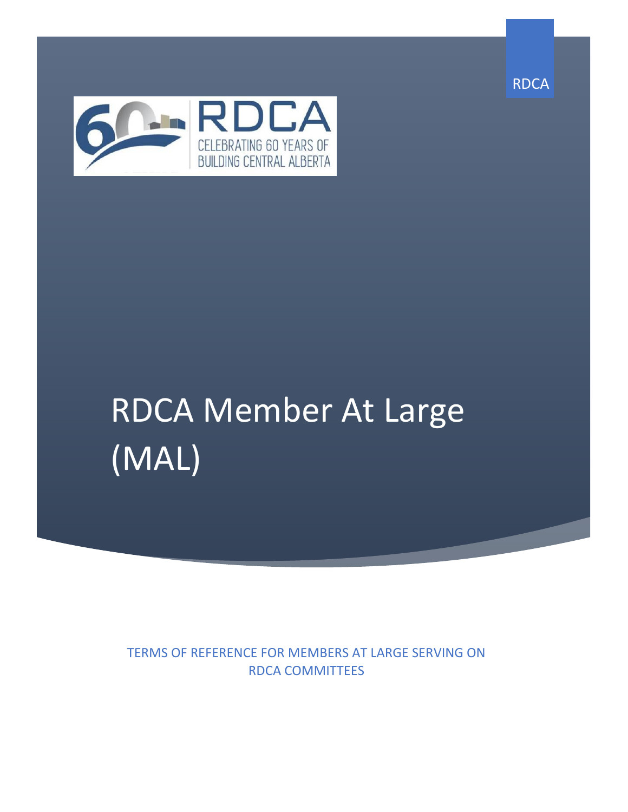



# RDCA Member At Large (MAL)

TERMS OF REFERENCE FOR MEMBERS AT LARGE SERVING ON RDCA COMMITTEES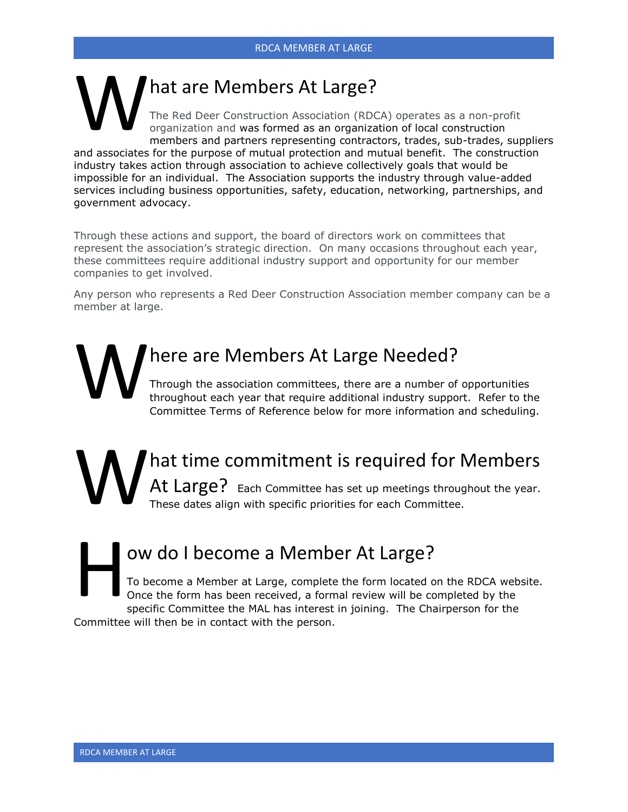#### hat are Members At Large? The Red Deer Construction Association (RDCA) operates as a non-profit organization and was formed as an organization of local construction members and partners representing contractors, trades, sub-trades, suppliers and associates for the purpose of mutual protection and mutual benefit. The construction W

industry takes action through association to achieve collectively goals that would be impossible for an individual. The Association supports the industry through value-added services including business opportunities, safety, education, networking, partnerships, and government advocacy.

Through these actions and support, the board of directors work on committees that represent the association's strategic direction. On many occasions throughout each year, these committees require additional industry support and opportunity for our member companies to get involved.

Any person who represents a Red Deer Construction Association member company can be a member at large.

here are Members At Large Needed? Through the association committees, there are a number of opportunities throughout each year that require additional industry support. Refer to the Committee Terms of Reference below for more information and scheduling. W

hat time commitment is required for Members At Large? Each Committee has set up meetings throughout the year. These dates align with specific priorities for each Committee. W

ow do I become a Member At Large? To become a Member at Large, complete the form located on the RDCA website. Once the form has been received, a formal review will be completed by the specific Committee the MAL has interest in joining. The Chairperson for the Committee will then be in contact with the person. H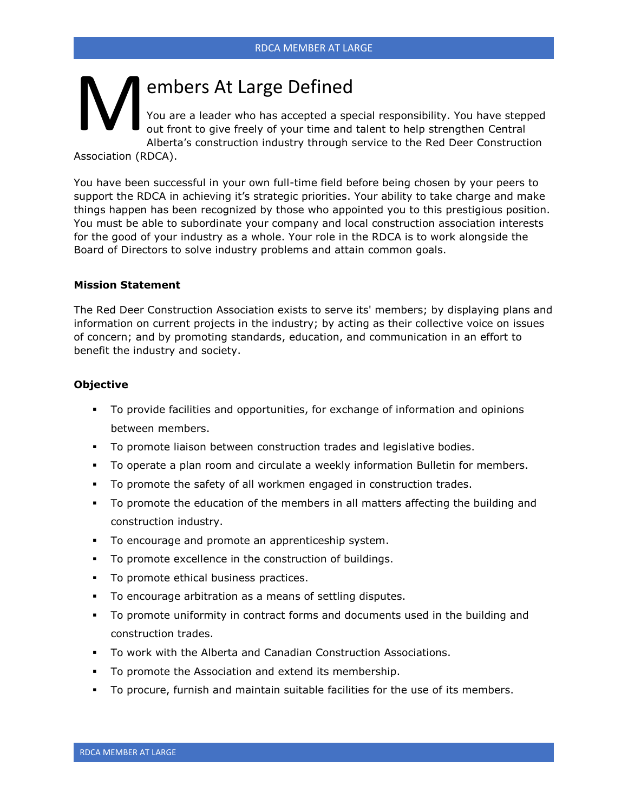# embers At Large Defined M

You are a leader who has accepted a special responsibility. You have stepped out front to give freely of your time and talent to help strengthen Central Alberta's construction industry through service to the Red Deer Construction

Association (RDCA).

You have been successful in your own full-time field before being chosen by your peers to support the RDCA in achieving it's strategic priorities. Your ability to take charge and make things happen has been recognized by those who appointed you to this prestigious position. You must be able to subordinate your company and local construction association interests for the good of your industry as a whole. Your role in the RDCA is to work alongside the Board of Directors to solve industry problems and attain common goals.

#### **Mission Statement**

The Red Deer Construction Association exists to serve its' members; by displaying plans and information on current projects in the industry; by acting as their collective voice on issues of concern; and by promoting standards, education, and communication in an effort to benefit the industry and society.

#### **Objective**

- To provide facilities and opportunities, for exchange of information and opinions between members.
- To promote liaison between construction trades and legislative bodies.
- To operate a plan room and circulate a weekly information Bulletin for members.
- To promote the safety of all workmen engaged in construction trades.
- To promote the education of the members in all matters affecting the building and construction industry.
- To encourage and promote an apprenticeship system.
- To promote excellence in the construction of buildings.
- **•** To promote ethical business practices.
- To encourage arbitration as a means of settling disputes.
- To promote uniformity in contract forms and documents used in the building and construction trades.
- To work with the Alberta and Canadian Construction Associations.
- To promote the Association and extend its membership.
- To procure, furnish and maintain suitable facilities for the use of its members.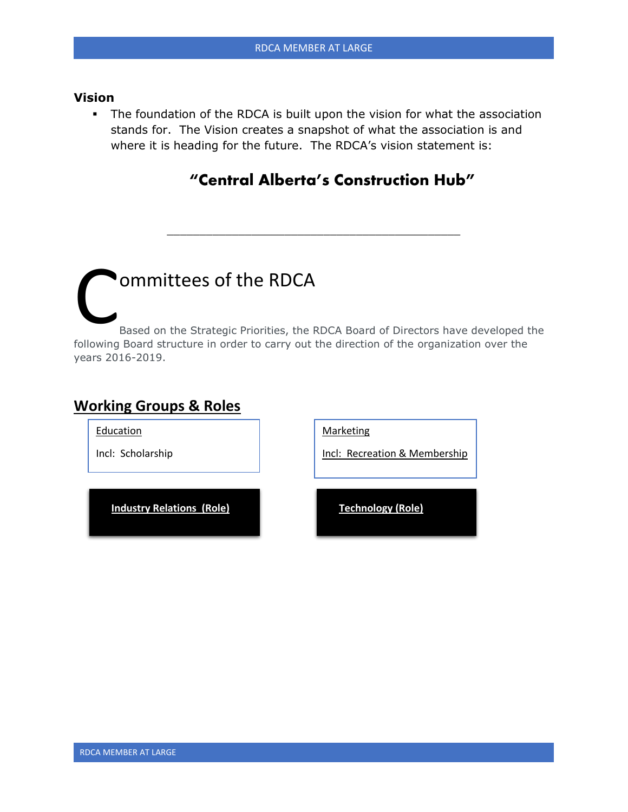#### **Vision**

**.** The foundation of the RDCA is built upon the vision for what the association stands for. The Vision creates a snapshot of what the association is and where it is heading for the future. The RDCA's vision statement is:

### **"Central Alberta's Construction Hub"**

## ommittees of the RDCA Based on the Strategic Priorities, the RDCA Board of Directors have developed the following Board structure in order to carry out the direction of the organization over the years 2016-2019. C<br>following

**COOLNet Alberta – Non-ACA**

\_\_\_\_\_\_\_\_\_\_\_\_\_\_\_\_\_\_\_\_\_\_\_\_\_\_\_\_\_\_\_\_\_\_\_\_\_\_\_\_\_\_\_\_\_

#### **Working Groups & Roles**

Education

Incl: Scholarship

**Industry Relations (Role) Technology (Role)**

**Marketing** 

Incl: Recreation & Membership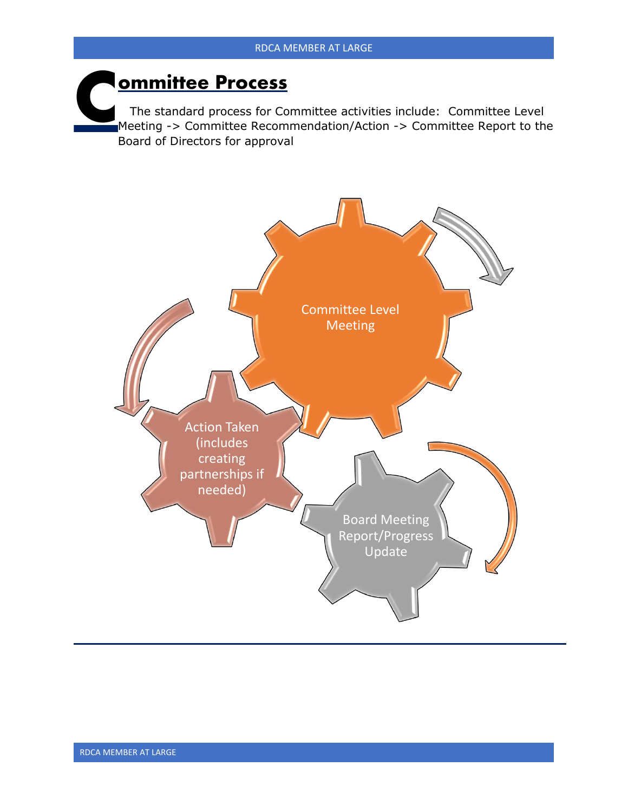## **ommittee Process C**

 The standard process for Committee activities include: Committee Level Meeting -> Committee Recommendation/Action -> Committee Report to the Board of Directors for approval

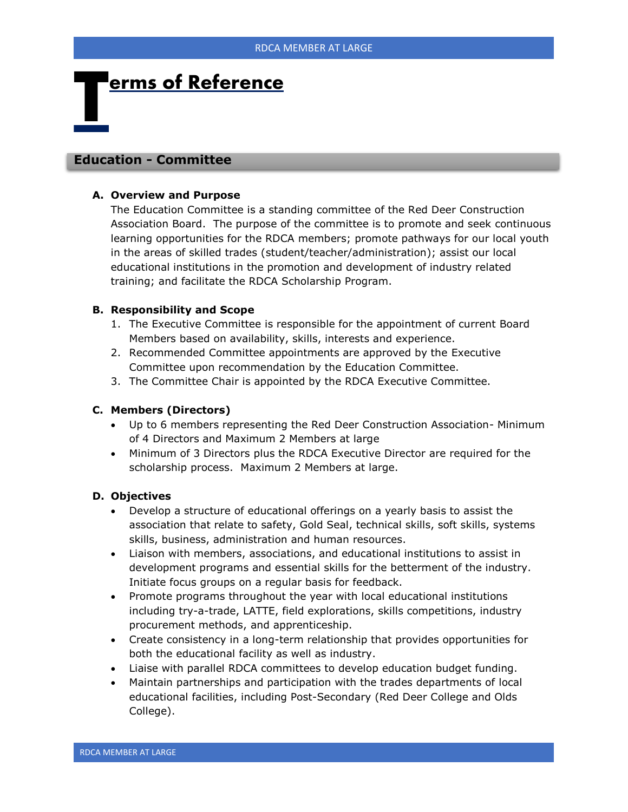## **erms of Reference T**

#### **Education - Committee**

#### **A. Overview and Purpose**

The Education Committee is a standing committee of the Red Deer Construction Association Board. The purpose of the committee is to promote and seek continuous learning opportunities for the RDCA members; promote pathways for our local youth in the areas of skilled trades (student/teacher/administration); assist our local educational institutions in the promotion and development of industry related training; and facilitate the RDCA Scholarship Program.

#### **B. Responsibility and Scope**

- 1. The Executive Committee is responsible for the appointment of current Board Members based on availability, skills, interests and experience.
- 2. Recommended Committee appointments are approved by the Executive Committee upon recommendation by the Education Committee.
- 3. The Committee Chair is appointed by the RDCA Executive Committee.

#### **C. Members (Directors)**

- Up to 6 members representing the Red Deer Construction Association- Minimum of 4 Directors and Maximum 2 Members at large
- Minimum of 3 Directors plus the RDCA Executive Director are required for the scholarship process. Maximum 2 Members at large.

#### **D. Objectives**

- Develop a structure of educational offerings on a yearly basis to assist the association that relate to safety, Gold Seal, technical skills, soft skills, systems skills, business, administration and human resources.
- Liaison with members, associations, and educational institutions to assist in development programs and essential skills for the betterment of the industry. Initiate focus groups on a regular basis for feedback.
- Promote programs throughout the year with local educational institutions including try-a-trade, LATTE, field explorations, skills competitions, industry procurement methods, and apprenticeship.
- Create consistency in a long-term relationship that provides opportunities for both the educational facility as well as industry.
- Liaise with parallel RDCA committees to develop education budget funding.
- Maintain partnerships and participation with the trades departments of local educational facilities, including Post-Secondary (Red Deer College and Olds College).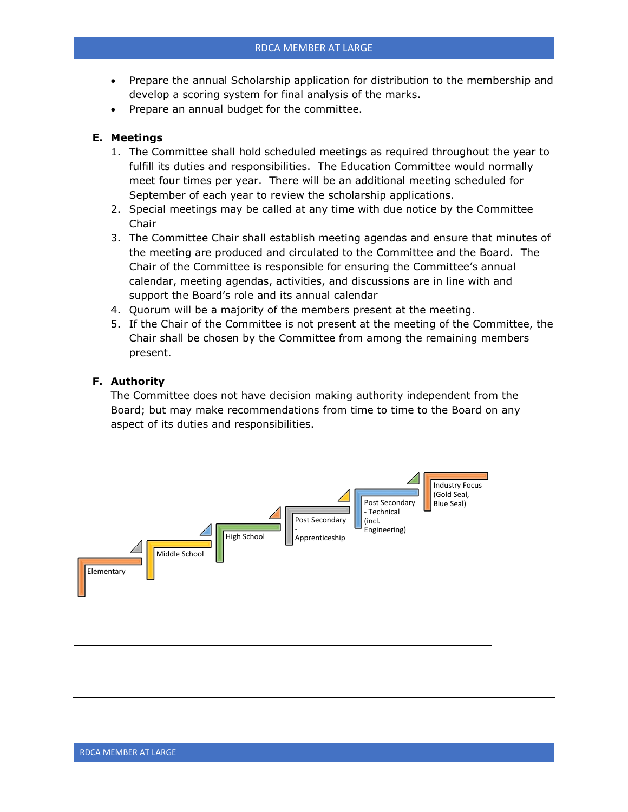- Prepare the annual Scholarship application for distribution to the membership and develop a scoring system for final analysis of the marks.
- Prepare an annual budget for the committee.

#### **E. Meetings**

- 1. The Committee shall hold scheduled meetings as required throughout the year to fulfill its duties and responsibilities. The Education Committee would normally meet four times per year. There will be an additional meeting scheduled for September of each year to review the scholarship applications.
- 2. Special meetings may be called at any time with due notice by the Committee Chair
- 3. The Committee Chair shall establish meeting agendas and ensure that minutes of the meeting are produced and circulated to the Committee and the Board. The Chair of the Committee is responsible for ensuring the Committee's annual calendar, meeting agendas, activities, and discussions are in line with and support the Board's role and its annual calendar
- 4. Quorum will be a majority of the members present at the meeting.
- 5. If the Chair of the Committee is not present at the meeting of the Committee, the Chair shall be chosen by the Committee from among the remaining members present.

#### **F. Authority**

The Committee does not have decision making authority independent from the Board; but may make recommendations from time to time to the Board on any aspect of its duties and responsibilities.

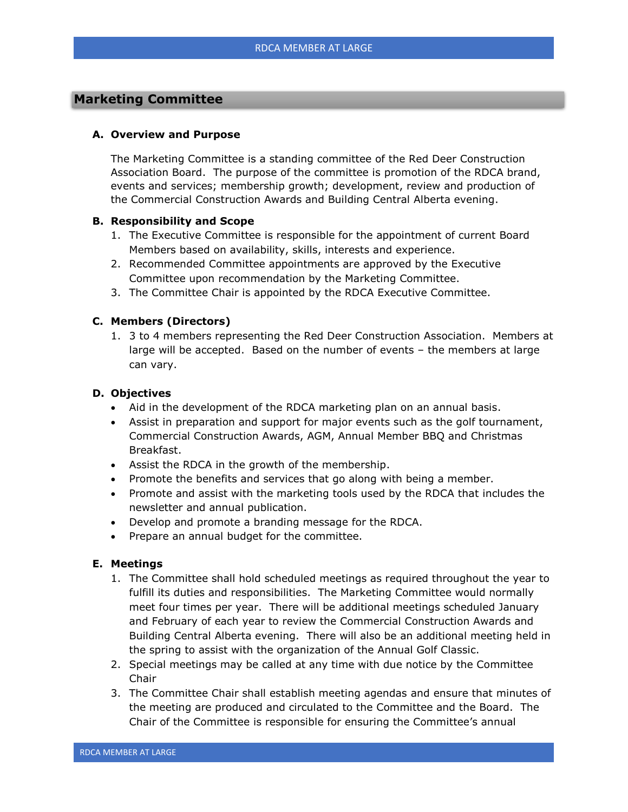#### **Marketing Committee**

#### **A. Overview and Purpose**

The Marketing Committee is a standing committee of the Red Deer Construction Association Board. The purpose of the committee is promotion of the RDCA brand, events and services; membership growth; development, review and production of the Commercial Construction Awards and Building Central Alberta evening.

#### **B. Responsibility and Scope**

- 1. The Executive Committee is responsible for the appointment of current Board Members based on availability, skills, interests and experience.
- 2. Recommended Committee appointments are approved by the Executive Committee upon recommendation by the Marketing Committee.
- 3. The Committee Chair is appointed by the RDCA Executive Committee.

#### **C. Members (Directors)**

1. 3 to 4 members representing the Red Deer Construction Association. Members at large will be accepted. Based on the number of events – the members at large can vary.

#### **D. Objectives**

- Aid in the development of the RDCA marketing plan on an annual basis.
- Assist in preparation and support for major events such as the golf tournament, Commercial Construction Awards, AGM, Annual Member BBQ and Christmas Breakfast.
- Assist the RDCA in the growth of the membership.
- Promote the benefits and services that go along with being a member.
- Promote and assist with the marketing tools used by the RDCA that includes the newsletter and annual publication.
- Develop and promote a branding message for the RDCA.
- Prepare an annual budget for the committee.

#### **E. Meetings**

- 1. The Committee shall hold scheduled meetings as required throughout the year to fulfill its duties and responsibilities. The Marketing Committee would normally meet four times per year. There will be additional meetings scheduled January and February of each year to review the Commercial Construction Awards and Building Central Alberta evening. There will also be an additional meeting held in the spring to assist with the organization of the Annual Golf Classic.
- 2. Special meetings may be called at any time with due notice by the Committee Chair
- 3. The Committee Chair shall establish meeting agendas and ensure that minutes of the meeting are produced and circulated to the Committee and the Board. The Chair of the Committee is responsible for ensuring the Committee's annual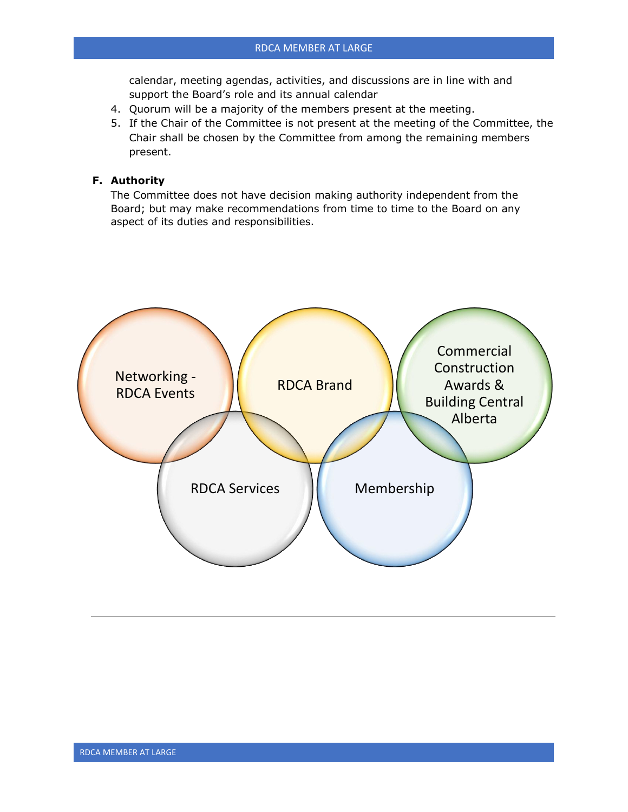calendar, meeting agendas, activities, and discussions are in line with and support the Board's role and its annual calendar

- 4. Quorum will be a majority of the members present at the meeting.
- 5. If the Chair of the Committee is not present at the meeting of the Committee, the Chair shall be chosen by the Committee from among the remaining members present.

#### **F. Authority**

The Committee does not have decision making authority independent from the Board; but may make recommendations from time to time to the Board on any aspect of its duties and responsibilities.

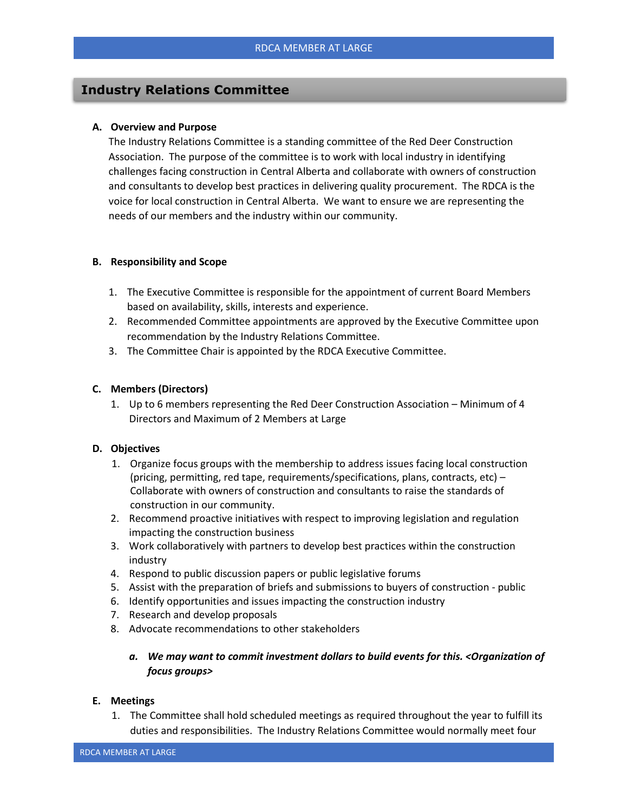#### **Industry Relations Committee**

#### **A. Overview and Purpose**

The Industry Relations Committee is a standing committee of the Red Deer Construction Association. The purpose of the committee is to work with local industry in identifying challenges facing construction in Central Alberta and collaborate with owners of construction and consultants to develop best practices in delivering quality procurement. The RDCA is the voice for local construction in Central Alberta. We want to ensure we are representing the needs of our members and the industry within our community.

#### **B. Responsibility and Scope**

- 1. The Executive Committee is responsible for the appointment of current Board Members based on availability, skills, interests and experience.
- 2. Recommended Committee appointments are approved by the Executive Committee upon recommendation by the Industry Relations Committee.
- 3. The Committee Chair is appointed by the RDCA Executive Committee.

#### **C. Members (Directors)**

1. Up to 6 members representing the Red Deer Construction Association – Minimum of 4 Directors and Maximum of 2 Members at Large

#### **D. Objectives**

- 1. Organize focus groups with the membership to address issues facing local construction (pricing, permitting, red tape, requirements/specifications, plans, contracts, etc) – Collaborate with owners of construction and consultants to raise the standards of construction in our community.
- 2. Recommend proactive initiatives with respect to improving legislation and regulation impacting the construction business
- 3. Work collaboratively with partners to develop best practices within the construction industry
- 4. Respond to public discussion papers or public legislative forums
- 5. Assist with the preparation of briefs and submissions to buyers of construction public
- 6. Identify opportunities and issues impacting the construction industry
- 7. Research and develop proposals
- 8. Advocate recommendations to other stakeholders
	- *a. We may want to commit investment dollars to build events for this. <Organization of focus groups>*

#### **E. Meetings**

1. The Committee shall hold scheduled meetings as required throughout the year to fulfill its duties and responsibilities. The Industry Relations Committee would normally meet four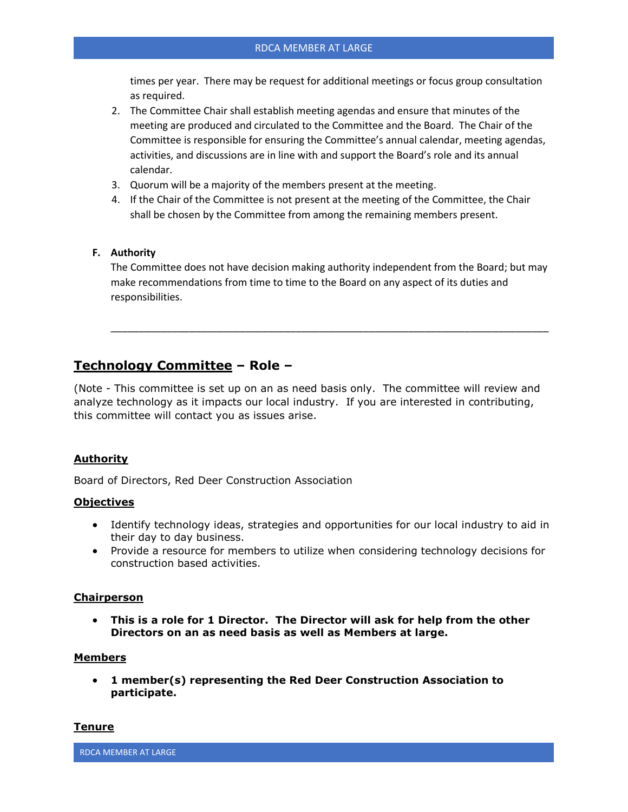times per year. There may be request for additional meetings or focus group consultation as required.

- 2. The Committee Chair shall establish meeting agendas and ensure that minutes of the meeting are produced and circulated to the Committee and the Board. The Chair of the Committee is responsible for ensuring the Committee's annual calendar, meeting agendas, activities, and discussions are in line with and support the Board's role and its annual calendar.
- 3. Quorum will be a majority of the members present at the meeting.
- 4. If the Chair of the Committee is not present at the meeting of the Committee, the Chair shall be chosen by the Committee from among the remaining members present.

#### **F. Authority**

The Committee does not have decision making authority independent from the Board; but may make recommendations from time to time to the Board on any aspect of its duties and responsibilities.

\_\_\_\_\_\_\_\_\_\_\_\_\_\_\_\_\_\_\_\_\_\_\_\_\_\_\_\_\_\_\_\_\_\_\_\_\_\_\_\_\_\_\_\_\_\_\_\_\_\_\_\_\_\_\_\_\_\_\_\_\_\_\_\_\_\_\_\_\_\_\_\_\_\_\_\_\_\_

#### **Technology Committee – Role –**

(Note - This committee is set up on an as need basis only. The committee will review and analyze technology as it impacts our local industry. If you are interested in contributing, this committee will contact you as issues arise.

#### **Authority**

Board of Directors, Red Deer Construction Association

#### **Objectives**

- Identify technology ideas, strategies and opportunities for our local industry to aid in their day to day business.
- Provide a resource for members to utilize when considering technology decisions for construction based activities.

#### **Chairperson**

• **This is a role for 1 Director. The Director will ask for help from the other Directors on an as need basis as well as Members at large.**

#### **Members**

• **1 member(s) representing the Red Deer Construction Association to participate.**

#### **Tenure**